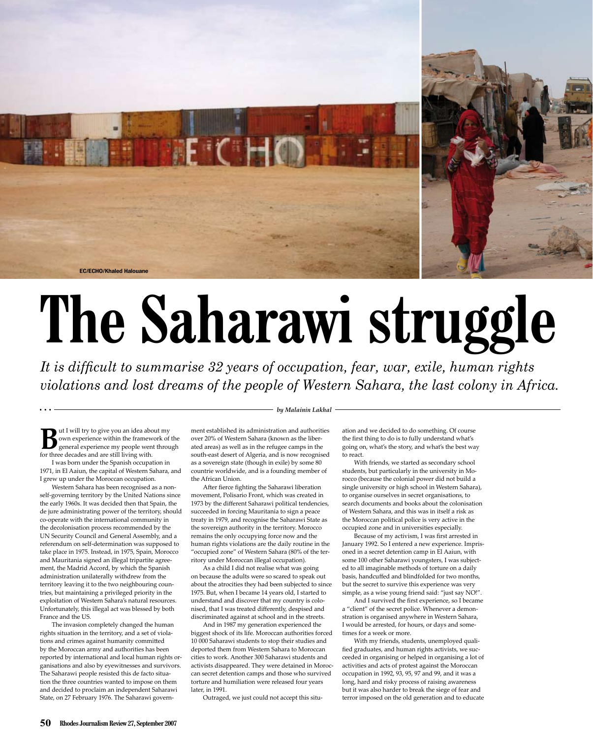

## **The Saharawi struggle**

*It is difficult to summarise 32 years of occupation, fear, war, exile, human rights violations and lost dreams of the people of Western Sahara, the last colony in Africa.*

**B**ut I will try to give you an idea about my own experience within the framework of the general experience my people went through for three decades and are still living with.

I was born under the Spanish occupation in 1971, in El Aaiun, the capital of Western Sahara, and I grew up under the Moroccan occupation.

Western Sahara has been recognised as a nonself-governing territory by the United Nations since the early 1960s. It was decided then that Spain, the de jure administrating power of the territory, should co-operate with the international community in the decolonisation process recommended by the UN Security Council and General Assembly, and a referendum on self-determination was supposed to take place in 1975. Instead, in 1975, Spain, Morocco and Mauritania signed an illegal tripartite agreement, the Madrid Accord, by which the Spanish administration unilaterally withdrew from the territory leaving it to the two neighbouring countries, but maintaining a privileged priority in the exploitation of Western Sahara's natural resources. Unfortunately, this illegal act was blessed by both France and the US.

The invasion completely changed the human rights situation in the territory, and a set of violations and crimes against humanity committed by the Moroccan army and authorities has been reported by international and local human rights organisations and also by eyewitnesses and survivors. The Saharawi people resisted this de facto situation the three countries wanted to impose on them and decided to proclaim an independent Saharawi State, on 27 February 1976. The Saharawi govern*by Malainin Lakhal*

ment established its administration and authorities over 20% of Western Sahara (known as the liberated areas) as well as in the refugee camps in the south-east desert of Algeria, and is now recognised as a sovereign state (though in exile) by some 80 countrie worldwide, and is a founding member of the African Union.

After fierce fighting the Saharawi liberation movement, Polisario Front, which was created in 1973 by the different Saharawi political tendencies, succeeded in forcing Mauritania to sign a peace treaty in 1979, and recognise the Saharawi State as the sovereign authority in the territory. Morocco remains the only occupying force now and the human rights violations are the daily routine in the "occupied zone" of Western Sahara (80% of the territory under Moroccan illegal occupation).

As a child I did not realise what was going on because the adults were so scared to speak out about the atrocities they had been subjected to since 1975. But, when I became 14 years old, I started to understand and discover that my country is colonised, that I was treated differently, despised and discriminated against at school and in the streets.

And in 1987 my generation experienced the biggest shock of its life. Moroccan authorities forced 10 000 Saharawi students to stop their studies and deported them from Western Sahara to Moroccan cities to work. Another 300 Saharawi students and activists disappeared. They were detained in Moroccan secret detention camps and those who survived torture and humiliation were released four years later, in 1991.

Outraged, we just could not accept this situ-

ation and we decided to do something. Of course the first thing to do is to fully understand what's going on, what's the story, and what's the best way to react.

With friends, we started as secondary school students, but particularly in the university in Morocco (because the colonial power did not build a single university or high school in Western Sahara), to organise ourselves in secret organisations, to search documents and books about the colonisation of Western Sahara, and this was in itself a risk as the Moroccan political police is very active in the occupied zone and in universities especially.

Because of my activism, I was first arrested in January 1992. So I entered a new experience. Imprisoned in a secret detention camp in El Aaiun, with some 100 other Saharawi youngsters, I was subjected to all imaginable methods of torture on a daily basis, handcuffed and blindfolded for two months, but the secret to survive this experience was very simple, as a wise young friend said: "just say NO!".

And I survived the first experience, so I became a "client" of the secret police. Whenever a demonstration is organised anywhere in Western Sahara, I would be arrested, for hours, or days and sometimes for a week or more.

With my friends, students, unemployed qualified graduates, and human rights activists, we succeeded in organising or helped in organising a lot of activities and acts of protest against the Moroccan occupation in 1992, 93, 95, 97 and 99, and it was a long, hard and risky process of raising awareness but it was also harder to break the siege of fear and terror imposed on the old generation and to educate